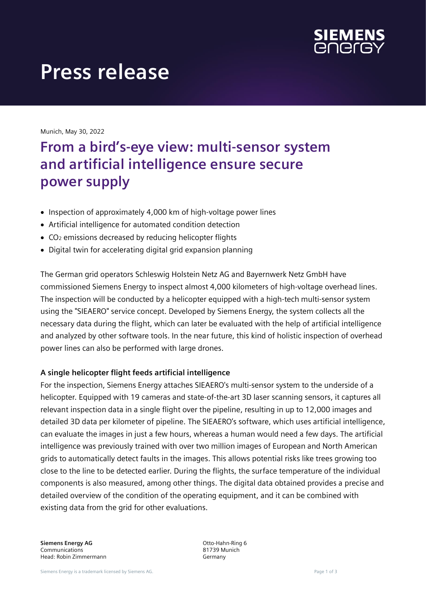

# **Press release**

Munich, May 30, 2022

# **From a bird's-eye view: multi-sensor system and artificial intelligence ensure secure power supply**

- Inspection of approximately 4,000 km of high-voltage power lines
- Artificial intelligence for automated condition detection
- CO<sup>2</sup> emissions decreased by reducing helicopter flights
- Digital twin for accelerating digital grid expansion planning

The German grid operators Schleswig Holstein Netz AG and Bayernwerk Netz GmbH have commissioned Siemens Energy to inspect almost 4,000 kilometers of high-voltage overhead lines. The inspection will be conducted by a helicopter equipped with a high-tech multi-sensor system using the "SIEAERO" service concept. Developed by Siemens Energy, the system collects all the necessary data during the flight, which can later be evaluated with the help of artificial intelligence and analyzed by other software tools. In the near future, this kind of holistic inspection of overhead power lines can also be performed with large drones.

#### **A single helicopter flight feeds artificial intelligence**

For the inspection, Siemens Energy attaches SIEAERO's multi-sensor system to the underside of a helicopter. Equipped with 19 cameras and state-of-the-art 3D laser scanning sensors, it captures all relevant inspection data in a single flight over the pipeline, resulting in up to 12,000 images and detailed 3D data per kilometer of pipeline. The SIEAERO's software, which uses artificial intelligence, can evaluate the images in just a few hours, whereas a human would need a few days. The artificial intelligence was previously trained with over two million images of European and North American grids to automatically detect faults in the images. This allows potential risks like trees growing too close to the line to be detected earlier. During the flights, the surface temperature of the individual components is also measured, among other things. The digital data obtained provides a precise and detailed overview of the condition of the operating equipment, and it can be combined with existing data from the grid for other evaluations.

**Siemens Energy AG** Communications Head: Robin Zimmermann Otto-Hahn-Ring 6 81739 Munich Germany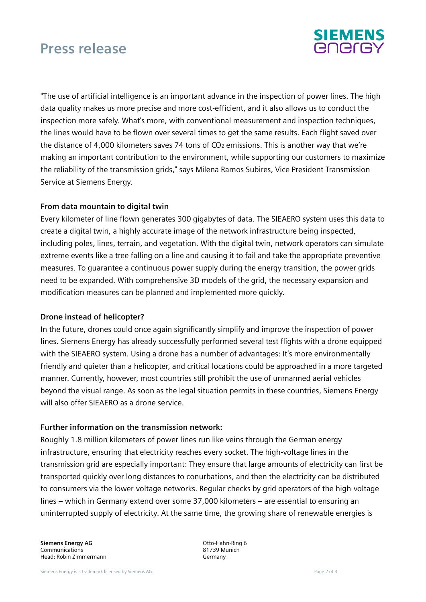## **Press release**



"The use of artificial intelligence is an important advance in the inspection of power lines. The high data quality makes us more precise and more cost-efficient, and it also allows us to conduct the inspection more safely. What's more, with conventional measurement and inspection techniques, the lines would have to be flown over several times to get the same results. Each flight saved over the distance of 4,000 kilometers saves 74 tons of  $CO<sub>2</sub>$  emissions. This is another way that we're making an important contribution to the environment, while supporting our customers to maximize the reliability of the transmission grids," says Milena Ramos Subires, Vice President Transmission Service at Siemens Energy.

#### **From data mountain to digital twin**

Every kilometer of line flown generates 300 gigabytes of data. The SIEAERO system uses this data to create a digital twin, a highly accurate image of the network infrastructure being inspected, including poles, lines, terrain, and vegetation. With the digital twin, network operators can simulate extreme events like a tree falling on a line and causing it to fail and take the appropriate preventive measures. To guarantee a continuous power supply during the energy transition, the power grids need to be expanded. With comprehensive 3D models of the grid, the necessary expansion and modification measures can be planned and implemented more quickly.

#### **Drone instead of helicopter?**

In the future, drones could once again significantly simplify and improve the inspection of power lines. Siemens Energy has already successfully performed several test flights with a drone equipped with the SIEAERO system. Using a drone has a number of advantages: It's more environmentally friendly and quieter than a helicopter, and critical locations could be approached in a more targeted manner. Currently, however, most countries still prohibit the use of unmanned aerial vehicles beyond the visual range. As soon as the legal situation permits in these countries, Siemens Energy will also offer SIEAERO as a drone service.

#### **Further information on the transmission network:**

Roughly 1.8 million kilometers of power lines run like veins through the German energy infrastructure, ensuring that electricity reaches every socket. The high-voltage lines in the transmission grid are especially important: They ensure that large amounts of electricity can first be transported quickly over long distances to conurbations, and then the electricity can be distributed to consumers via the lower-voltage networks. Regular checks by grid operators of the high-voltage lines – which in Germany extend over some 37,000 kilometers – are essential to ensuring an uninterrupted supply of electricity. At the same time, the growing share of renewable energies is

**Siemens Energy AG** Communications Head: Robin Zimmermann Otto-Hahn-Ring 6 81739 Munich Germany